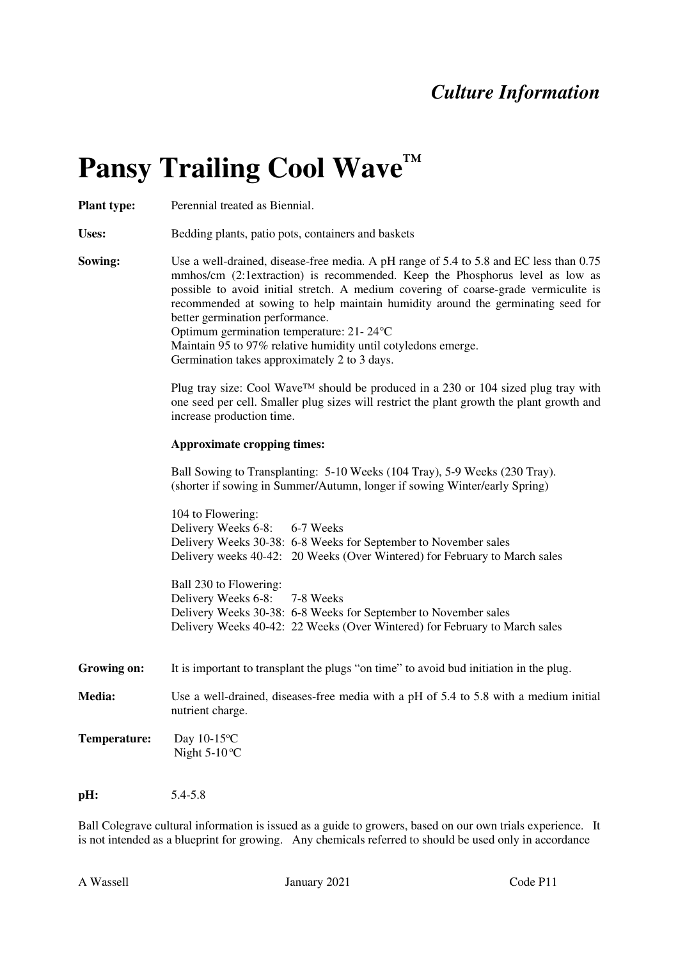## *Culture Information*

## **Pansy Trailing Cool Wave™**

**Plant type:** Perennial treated as Biennial.

Uses: Bedding plants, patio pots, containers and baskets

**Sowing:** Use a well-drained, disease-free media. A pH range of 5.4 to 5.8 and EC less than 0.75 mmhos/cm (2:1extraction) is recommended. Keep the Phosphorus level as low as possible to avoid initial stretch. A medium covering of coarse-grade vermiculite is recommended at sowing to help maintain humidity around the germinating seed for better germination performance. Optimum germination temperature: 21- 24°C

Maintain 95 to 97% relative humidity until cotyledons emerge. Germination takes approximately 2 to 3 days.

Plug tray size: Cool Wave™ should be produced in a 230 or 104 sized plug tray with one seed per cell. Smaller plug sizes will restrict the plant growth the plant growth and increase production time.

## **Approximate cropping times:**

Ball Sowing to Transplanting: 5-10 Weeks (104 Tray), 5-9 Weeks (230 Tray). (shorter if sowing in Summer/Autumn, longer if sowing Winter/early Spring)

104 to Flowering: Delivery Weeks 6-8: 6-7 Weeks Delivery Weeks 30-38: 6-8 Weeks for September to November sales Delivery weeks 40-42: 20 Weeks (Over Wintered) for February to March sales

Ball 230 to Flowering: Delivery Weeks 6-8: 7-8 Weeks Delivery Weeks 30-38: 6-8 Weeks for September to November sales Delivery Weeks 40-42: 22 Weeks (Over Wintered) for February to March sales

**Growing on:**  It is important to transplant the plugs "on time" to avoid bud initiation in the plug.

**Media:**  Use a well-drained, diseases-free media with a pH of 5.4 to 5.8 with a medium initial nutrient charge.

**Temperature:** Day 10-15<sup>o</sup>C Night  $5-10$ <sup>o</sup>C

**pH:** 5.4-5.8

Ball Colegrave cultural information is issued as a guide to growers, based on our own trials experience. It is not intended as a blueprint for growing. Any chemicals referred to should be used only in accordance